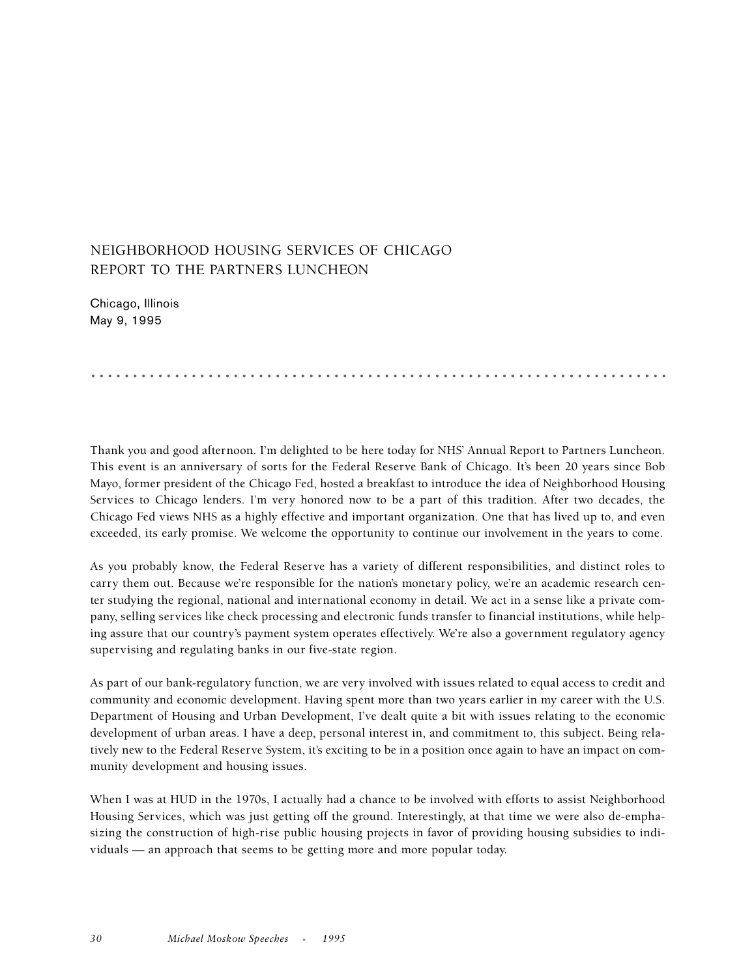## NEIGHBORHOOD HOUSING SERVICES OF CHICAGO REPORT TO THE PARTNERS LUNCHEON

Chicago, Illinois May 9, 1995

Thank you and good afternoon. I'm delighted to be here today for NHS' Annual Report to Partners Luncheon. This event is an anniversary of sorts for the Federal Reserve Bank of Chicago. It's been 20 years since Bob Mayo, former president of the Chicago Fed, hosted a breakfast to introduce the idea of Neighborhood Housing Services to Chicago lenders. I'm very honored now to be a part of this tradition. After two decades, the Chicago Fed views NHS as a highly effective and important organization. One that has lived up to, and even exceeded, its early promise. We welcome the opportunity to continue our involvement in the years to come.

.....................................................................

As you probably know, the Federal Reserve has a variety of different responsibilities, and distinct roles to carry them out. Because we're responsible for the nation's monetary policy, we're an academic research center studying the regional, national and international economy in detail. We act in a sense like a private company, selling services like check processing and electronic funds transfer to financial institutions, while helping assure that our country's payment system operates effectively. We're also a government regulatory agency supervising and regulating banks in our five-state region.

As part of our bank-regulatory function, we are very involved with issues related to equal access to credit and community and economic development. Having spent more than two years earlier in my career with the U.S. Department of Housing and Urban Development, I've dealt quite a bit with issues relating to the economic development of urban areas. I have a deep, personal interest in, and commitment to, this subject. Being relatively new to the Federal Reserve System, it's exciting to be in a position once again to have an impact on community development and housing issues.

When I was at HUD in the 1970s, I actually had a chance to be involved with efforts to assist Neighborhood Housing Services, which was just getting off the ground. Interestingly, at that time we were also de-emphasizing the construction of high-rise public housing projects in favor of providing housing subsidies to individuals — an approach that seems to be getting more and more popular today.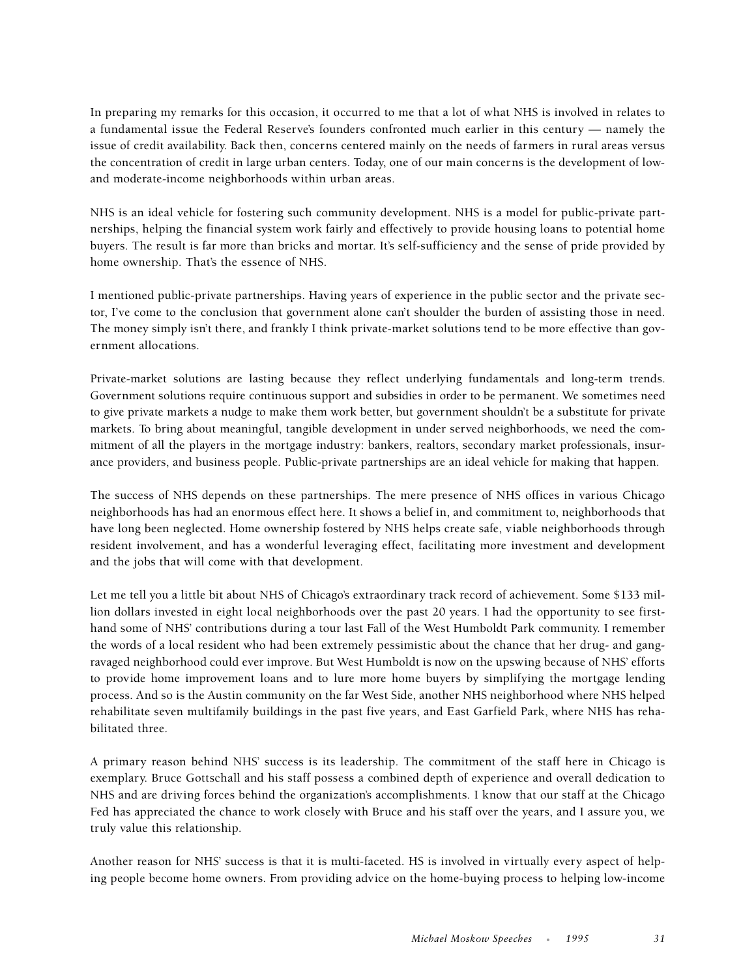In preparing my remarks for this occasion, it occurred to me that a lot of what NHS is involved in relates to a fundamental issue the Federal Reserve's founders confronted much earlier in this century — namely the issue of credit availability. Back then, concerns centered mainly on the needs of farmers in rural areas versus the concentration of credit in large urban centers. Today, one of our main concerns is the development of lowand moderate-income neighborhoods within urban areas.

NHS is an ideal vehicle for fostering such community development. NHS is a model for public-private partnerships, helping the financial system work fairly and effectively to provide housing loans to potential home buyers. The result is far more than bricks and mortar. It's self-sufficiency and the sense of pride provided by home ownership. That's the essence of NHS.

I mentioned public-private partnerships. Having years of experience in the public sector and the private sector, I've come to the conclusion that government alone can't shoulder the burden of assisting those in need. The money simply isn't there, and frankly I think private-market solutions tend to be more effective than government allocations.

Private-market solutions are lasting because they reflect underlying fundamentals and long-term trends. Government solutions require continuous support and subsidies in order to be permanent. We sometimes need to give private markets a nudge to make them work better, but government shouldn't be a substitute for private markets. To bring about meaningful, tangible development in under served neighborhoods, we need the commitment of all the players in the mortgage industry: bankers, realtors, secondary market professionals, insurance providers, and business people. Public-private partnerships are an ideal vehicle for making that happen.

The success of NHS depends on these partnerships. The mere presence of NHS offices in various Chicago neighborhoods has had an enormous effect here. It shows a belief in, and commitment to, neighborhoods that have long been neglected. Home ownership fostered by NHS helps create safe, viable neighborhoods through resident involvement, and has a wonderful leveraging effect, facilitating more investment and development and the jobs that will come with that development.

Let me tell you a little bit about NHS of Chicago's extraordinary track record of achievement. Some \$133 million dollars invested in eight local neighborhoods over the past 20 years. I had the opportunity to see firsthand some of NHS' contributions during a tour last Fall of the West Humboldt Park community. I remember the words of a local resident who had been extremely pessimistic about the chance that her drug- and gangravaged neighborhood could ever improve. But West Humboldt is now on the upswing because of NHS' efforts to provide home improvement loans and to lure more home buyers by simplifying the mortgage lending process. And so is the Austin community on the far West Side, another NHS neighborhood where NHS helped rehabilitate seven multifamily buildings in the past five years, and East Garfield Park, where NHS has rehabilitated three.

A primary reason behind NHS' success is its leadership. The commitment of the staff here in Chicago is exemplary. Bruce Gottschall and his staff possess a combined depth of experience and overall dedication to NHS and are driving forces behind the organization's accomplishments. I know that our staff at the Chicago Fed has appreciated the chance to work closely with Bruce and his staff over the years, and I assure you, we truly value this relationship.

Another reason for NHS' success is that it is multi-faceted. HS is involved in virtually every aspect of helping people become home owners. From providing advice on the home-buying process to helping low-income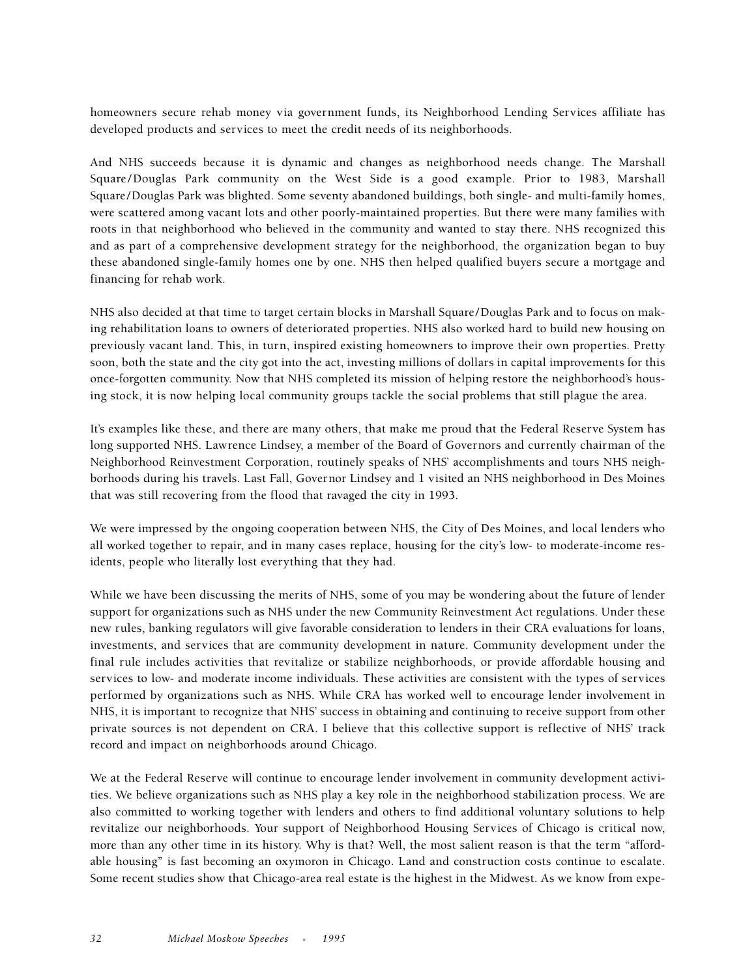homeowners secure rehab money via government funds, its Neighborhood Lending Services affiliate has developed products and services to meet the credit needs of its neighborhoods.

And NHS succeeds because it is dynamic and changes as neighborhood needs change. The Marshall Square /Douglas Park community on the West Side is a good example. Prior to 1983, Marshall Square/Douglas Park was blighted. Some seventy abandoned buildings, both single- and multi-family homes, were scattered among vacant lots and other poorly-maintained properties. But there were many families with roots in that neighborhood who believed in the community and wanted to stay there. NHS recognized this and as part of a comprehensive development strategy for the neighborhood, the organization began to buy these abandoned single-family homes one by one. NHS then helped qualified buyers secure a mortgage and financing for rehab work.

NHS also decided at that time to target certain blocks in Marshall Square/Douglas Park and to focus on making rehabilitation loans to owners of deteriorated properties. NHS also worked hard to build new housing on previously vacant land. This, in turn, inspired existing homeowners to improve their own properties. Pretty soon, both the state and the city got into the act, investing millions of dollars in capital improvements for this once-forgotten community. Now that NHS completed its mission of helping restore the neighborhood's housing stock, it is now helping local community groups tackle the social problems that still plague the area.

It's examples like these, and there are many others, that make me proud that the Federal Reserve System has long supported NHS. Lawrence Lindsey, a member of the Board of Governors and currently chairman of the Neighborhood Reinvestment Corporation, routinely speaks of NHS' accomplishments and tours NHS neighborhoods during his travels. Last Fall, Governor Lindsey and 1 visited an NHS neighborhood in Des Moines that was still recovering from the flood that ravaged the city in 1993.

We were impressed by the ongoing cooperation between NHS, the City of Des Moines, and local lenders who all worked together to repair, and in many cases replace, housing for the city's low- to moderate-income residents, people who literally lost everything that they had.

While we have been discussing the merits of NHS, some of you may be wondering about the future of lender support for organizations such as NHS under the new Community Reinvestment Act regulations. Under these new rules, banking regulators will give favorable consideration to lenders in their CRA evaluations for loans, investments, and services that are community development in nature. Community development under the final rule includes activities that revitalize or stabilize neighborhoods, or provide affordable housing and services to low- and moderate income individuals. These activities are consistent with the types of services performed by organizations such as NHS. While CRA has worked well to encourage lender involvement in NHS, it is important to recognize that NHS' success in obtaining and continuing to receive support from other private sources is not dependent on CRA. I believe that this collective support is reflective of NHS' track record and impact on neighborhoods around Chicago.

We at the Federal Reserve will continue to encourage lender involvement in community development activities. We believe organizations such as NHS play a key role in the neighborhood stabilization process. We are also committed to working together with lenders and others to find additional voluntary solutions to help revitalize our neighborhoods. Your support of Neighborhood Housing Services of Chicago is critical now, more than any other time in its history. Why is that? Well, the most salient reason is that the term "affordable housing" is fast becoming an oxymoron in Chicago. Land and construction costs continue to escalate. Some recent studies show that Chicago-area real estate is the highest in the Midwest. As we know from expe